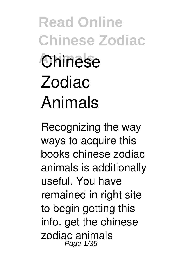**Read Online Chinese Zodiac Animals Chinese Zodiac Animals**

Recognizing the way ways to acquire this books **chinese zodiac animals** is additionally useful. You have remained in right site to begin getting this info. get the chinese zodiac animals Page 1/35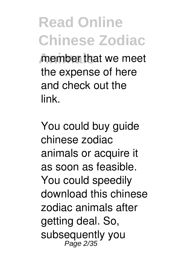*<u>Anember</u>* that we meet the expense of here and check out the link.

You could buy guide chinese zodiac animals or acquire it as soon as feasible. You could speedily download this chinese zodiac animals after getting deal. So, subsequently you Page 2/35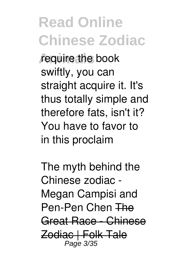**require the book** swiftly, you can straight acquire it. It's thus totally simple and therefore fats, isn't it? You have to favor to in this proclaim

*The myth behind the Chinese zodiac - Megan Campisi and Pen-Pen Chen* The Great Race - Chinese Zodiac | Folk Tale Page 3/35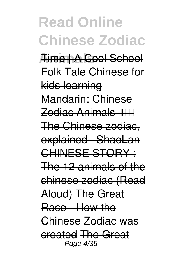**Read Online Chinese Zodiac Animals** Time | A Cool School Folk Tale Chinese for kids learning Mandarin: Chinese Zodiac Animals The Chinese zodiac, explained | ShaoLan CHINESE STORY : The 12 animals of the chinese zodiac (Read Aloud) The Great Race - How the Chinese Zodiac was created The Great Page 4/35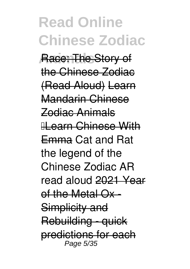**Read Online Chinese Zodiac Race: The Story of** the Chinese Zodiac (Read Aloud) Learn Mandarin Chinese Zodiac Animals II earn Chinese With Emma *Cat and Rat the legend of the Chinese Zodiac AR read aloud* 2021 Year of the Metal Ox - Simplicity and Rebuilding - quick predictions for each Page 5/35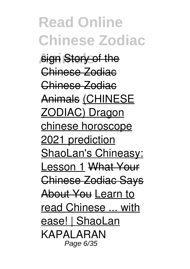**Read Online Chinese Zodiac Sign Story of the** Chinese Zodiac Chinese Zodiac Animals (CHINESE ZODIAC) Dragon chinese horoscope 2021 prediction ShaoLan's Chineasy: Lesson 1 What Your Chinese Zodiac Says About You Learn to read Chinese ... with ease! | ShaoLan *KAPALARAN* Page 6/35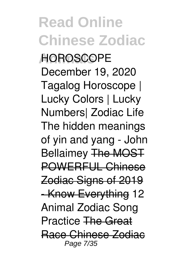**Read Online Chinese Zodiac Animals** *HOROSCOPE December 19, 2020 Tagalog Horoscope | Lucky Colors | Lucky Numbers| Zodiac Life* The hidden meanings of yin and yang - John Bellaimey The MOST POWERFUL Chinese Zodiac Signs of 2019 - Know Everything **12 Animal Zodiac Song Practice** The Great Race Chinese Zodiac Page 7/35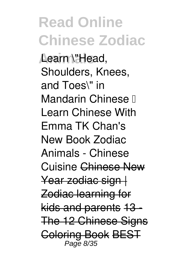**Animals Learn \"Head, Shoulders, Knees, and Toes\" in Mandarin Chinese ❤ Learn Chinese With Emma TK Chan's New Book Zodiac Animals - Chinese Cuisine** Chinese New Year zodiac sign | Zodiac learning for kids and parents 13 - The 12 Chinese Signs Coloring Book BEST Page 8/35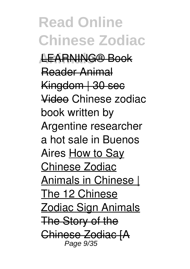**Read Online Chinese Zodiac Animals** LEARNING® Book Reader Animal Kingdom | 30 sec Video *Chinese zodiac book written by Argentine researcher a hot sale in Buenos Aires* How to Say Chinese Zodiac Animals in Chinese | The 12 Chinese Zodiac Sign Animals The Story of the Chinese Zodiac [A Page 9/35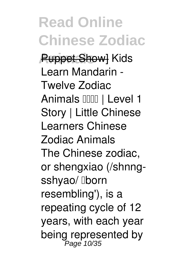**Read Online Chinese Zodiac Puppet Showl Kids Learn Mandarin - Twelve Zodiac** Animals **IIIII** | Level 1 **Story | Little Chinese Learners Chinese Zodiac Animals** The Chinese zodiac, or shengxiao (/shnngsshyao/ **Iborn** resembling'), is a repeating cycle of 12 years, with each year being represented by<br><sup>Page 10/35</sup>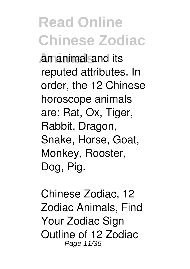**Amanimal and its** reputed attributes. In order, the 12 Chinese horoscope animals are: Rat, Ox, Tiger, Rabbit, Dragon, Snake, Horse, Goat, Monkey, Rooster, Dog, Pig.

**Chinese Zodiac, 12 Zodiac Animals, Find Your Zodiac Sign** Outline of 12 Zodiac Page 11/35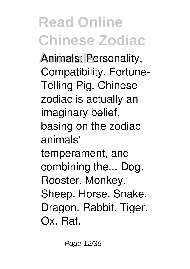**Animals** Animals: Personality, Compatibility, Fortune-Telling Pig. Chinese zodiac is actually an imaginary belief, basing on the zodiac animals' temperament, and combining the... Dog. Rooster. Monkey. Sheep. Horse. Snake. Dragon. Rabbit. Tiger. Ox. Rat.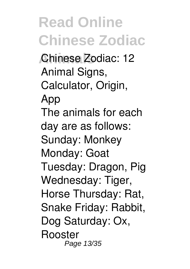**Animals Chinese Zodiac: 12 Animal Signs, Calculator, Origin, App** The animals for each day are as follows: Sunday: Monkey Monday: Goat Tuesday: Dragon, Pig Wednesday: Tiger, Horse Thursday: Rat, Snake Friday: Rabbit, Dog Saturday: Ox, Rooster Page 13/35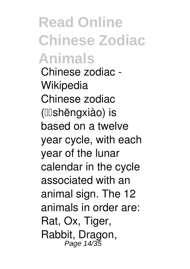**Read Online Chinese Zodiac Animals Chinese zodiac - Wikipedia** Chinese zodiac (**Illshēngxiào**) is based on a twelve year cycle, with each year of the lunar calendar in the cycle associated with an animal sign. The 12 animals in order are: Rat, Ox, Tiger, Rabbit, Dragon, Page 14/35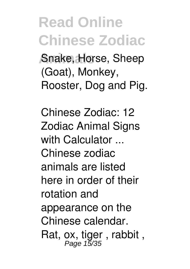**Animals** Snake, Horse, Sheep (Goat), Monkey, Rooster, Dog and Pig.

**Chinese Zodiac: 12 Zodiac Animal Signs with Calculator ...** Chinese zodiac animals are listed here in order of their rotation and appearance on the Chinese calendar. Rat, ox, tiger, rabbit,<br>Page 15/35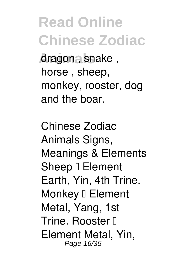**Animals** dragon , snake , horse , sheep, monkey, rooster, dog and the boar.

**Chinese Zodiac Animals Signs, Meanings & Elements** Sheep <sup>[</sup> Element Earth, Yin, 4th Trine. Monkey <sup>[]</sup> Element Metal, Yang, 1st Trine. Rooster II Element Metal, Yin, Page 16/35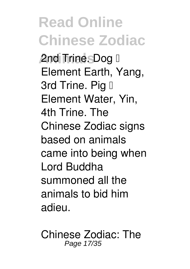**Read Online Chinese Zodiac And Trine. Dog I** Element Earth, Yang, 3rd Trine. Pig II Element Water, Yin, 4th Trine. The Chinese Zodiac signs based on animals came into being when Lord Buddha summoned all the animals to bid him adieu.

**Chinese Zodiac: The** Page 17/35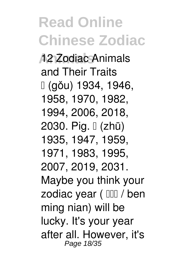**Animals 12 Zodiac Animals and Their Traits** 狗 (gǒu) 1934, 1946, 1958, 1970, 1982, 1994, 2006, 2018, 2030. Pig.  $\lfloor$  (zhū) 1935, 1947, 1959, 1971, 1983, 1995, 2007, 2019, 2031. Maybe you think your zodiac year (  $\text{III}$  / ben ming nian) will be lucky. It's your year after all. However, it's Page 18/35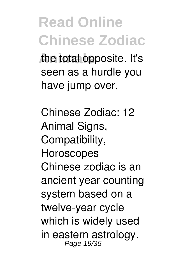**Animals** the total opposite. It's seen as a hurdle you have jump over.

**Chinese Zodiac: 12 Animal Signs, Compatibility, Horoscopes** Chinese zodiac is an ancient year counting system based on a twelve-year cycle which is widely used in eastern astrology. Page 19/35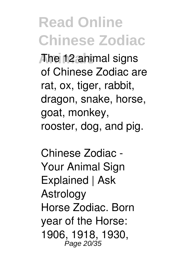**Animals** The 12 animal signs of Chinese Zodiac are rat, ox, tiger, rabbit, dragon, snake, horse, goat, monkey, rooster, dog, and pig.

**Chinese Zodiac - Your Animal Sign Explained | Ask Astrology** Horse Zodiac. Born year of the Horse: 1906, 1918, 1930, Page 20/35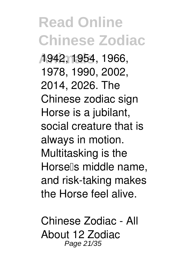**Read Online Chinese Zodiac Animals** 1942, 1954, 1966, 1978, 1990, 2002, 2014, 2026. The Chinese zodiac sign Horse is a jubilant, social creature that is always in motion. Multitasking is the Horsells middle name. and risk-taking makes the Horse feel alive.

**Chinese Zodiac - All About 12 Zodiac** Page 21/35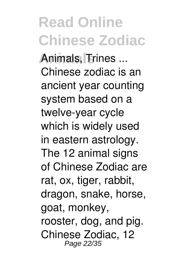**Animals Animals, Trines ...** Chinese zodiac is an ancient year counting system based on a twelve-year cycle which is widely used in eastern astrology. The 12 animal signs of Chinese Zodiac are rat, ox, tiger, rabbit, dragon, snake, horse, goat, monkey, rooster, dog, and pig. Chinese Zodiac, 12 Page 22/35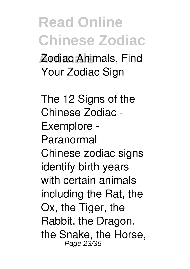**Animals** Zodiac Animals, Find Your Zodiac Sign

**The 12 Signs of the Chinese Zodiac - Exemplore - Paranormal** Chinese zodiac signs identify birth years with certain animals including the Rat, the Ox, the Tiger, the Rabbit, the Dragon, the Snake, the Horse, Page 23/35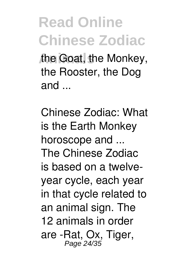the Goat, the Monkey, the Rooster, the Dog and ...

**Chinese Zodiac: What is the Earth Monkey horoscope and ...** The Chinese Zodiac is based on a twelveyear cycle, each year in that cycle related to an animal sign. The 12 animals in order are -Rat, Ox, Tiger, Page 24/35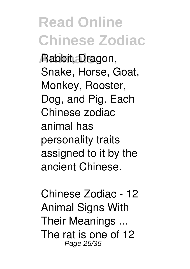**Animals** Rabbit, Dragon, Snake, Horse, Goat, Monkey, Rooster, Dog, and Pig. Each Chinese zodiac animal has personality traits assigned to it by the ancient Chinese.

**Chinese Zodiac - 12 Animal Signs With Their Meanings ...** The rat is one of 12 Page 25/35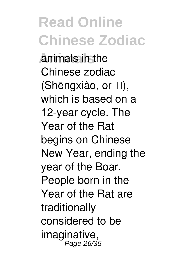**Animals** animals in the Chinese zodiac (Shēngxiào, or III). which is based on a 12-year cycle. The Year of the Rat begins on Chinese New Year, ending the year of the Boar. People born in the Year of the Rat are traditionally considered to be imaginative, Page 26/35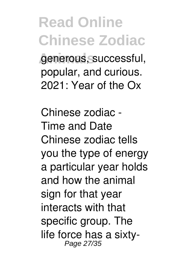#### **Read Online Chinese Zodiac** *Anderous, successful,* popular, and curious.

2021: Year of the Ox

**Chinese zodiac - Time and Date** Chinese zodiac tells you the type of energy a particular year holds and how the animal sign for that year interacts with that specific group. The life force has a sixty-Page 27/35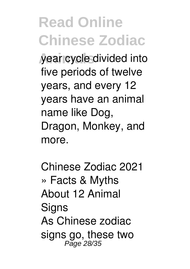**Animals** year cycle divided into five periods of twelve years, and every 12 years have an animal name like Dog, Dragon, Monkey, and more.

**Chinese Zodiac 2021 » Facts & Myths About 12 Animal Signs** As Chinese zodiac signs go, these two Page 28/35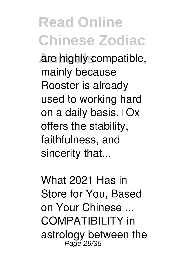**Animals** are highly compatible, mainly because Rooster is already used to working hard on a daily basis. "Ox offers the stability, faithfulness, and sincerity that...

**What 2021 Has in Store for You, Based on Your Chinese ...** COMPATIBILITY in astrology between the Page 29/35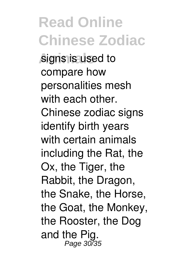**Read Online Chinese Zodiac** signs is used to compare how personalities mesh with each other. Chinese zodiac signs identify birth years with certain animals including the Rat, the Ox, the Tiger, the Rabbit, the Dragon, the Snake, the Horse, the Goat, the Monkey, the Rooster, the Dog and the Pig. Page 30/35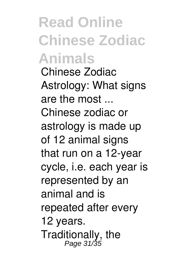**Read Online Chinese Zodiac Animals Chinese Zodiac Astrology: What signs are the most ...** Chinese zodiac or astrology is made up of 12 animal signs that run on a 12-year cycle, i.e. each year is represented by an animal and is repeated after every 12 years. Traditionally, the Page 31/35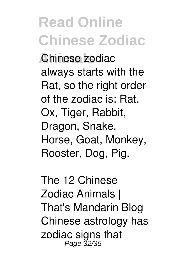**Animals** Chinese zodiac always starts with the Rat, so the right order of the zodiac is: Rat, Ox, Tiger, Rabbit, Dragon, Snake, Horse, Goat, Monkey, Rooster, Dog, Pig.

**The 12 Chinese Zodiac Animals | That's Mandarin Blog** Chinese astrology has zodiac signs that Page 32/35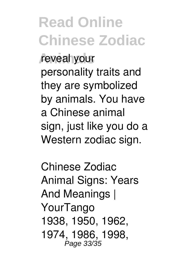**Read Online Chinese Zodiac Animals** reveal your personality traits and they are symbolized by animals. You have a Chinese animal sign, just like you do a Western zodiac sign.

**Chinese Zodiac Animal Signs: Years And Meanings | YourTango** 1938, 1950, 1962, 1974, 1986, 1998, Page 33/35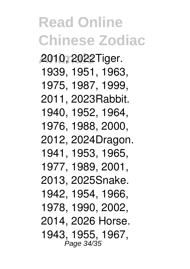**Read Online Chinese Zodiac Animals** 2010, 2022Tiger. 1939, 1951, 1963, 1975, 1987, 1999, 2011, 2023Rabbit. 1940, 1952, 1964, 1976, 1988, 2000, 2012, 2024Dragon. 1941, 1953, 1965, 1977, 1989, 2001, 2013, 2025Snake. 1942, 1954, 1966, 1978, 1990, 2002, 2014, 2026 Horse. 1943, 1955, 1967, Page 34/35